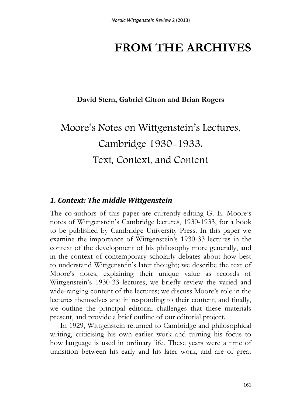## **FROM THE ARCHIVES**

## **David Stern, Gabriel Citron and Brian Rogers**

# Moore's Notes on Wittgenstein's Lectures, Cambridge 1930-1933: Text, Context, and Content

#### *1. Context: The middle Wittgenstein*

The co-authors of this paper are currently editing G. E. Moore's notes of Wittgenstein's Cambridge lectures, 1930-1933, for a book to be published by Cambridge University Press. In this paper we examine the importance of Wittgenstein's 1930-33 lectures in the context of the development of his philosophy more generally, and in the context of contemporary scholarly debates about how best to understand Wittgenstein's later thought; we describe the text of Moore's notes, explaining their unique value as records of Wittgenstein's 1930-33 lectures; we briefly review the varied and wide-ranging content of the lectures; we discuss Moore's role in the lectures themselves and in responding to their content; and finally, we outline the principal editorial challenges that these materials present, and provide a brief outline of our editorial project.

In 1929, Wittgenstein returned to Cambridge and philosophical writing, criticising his own earlier work and turning his focus to how language is used in ordinary life. These years were a time of transition between his early and his later work, and are of great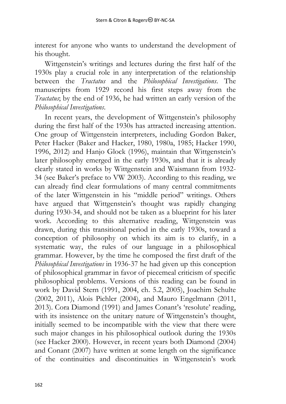interest for anyone who wants to understand the development of his thought.

Wittgenstein's writings and lectures during the first half of the 1930s play a crucial role in any interpretation of the relationship between the *Tractatus* and the *Philosophical Investigations*. The manuscripts from 1929 record his first steps away from the *Tractatus*; by the end of 1936, he had written an early version of the *Philosophical Investigations*.

In recent years, the development of Wittgenstein's philosophy during the first half of the 1930s has attracted increasing attention. One group of Wittgenstein interpreters, including Gordon Baker, Peter Hacker (Baker and Hacker, 1980, 1980a, 1985; Hacker 1990, 1996, 2012) and Hanjo Glock (1996), maintain that Wittgenstein's later philosophy emerged in the early 1930s, and that it is already clearly stated in works by Wittgenstein and Waismann from 1932- 34 (see Baker's preface to VW 2003). According to this reading, we can already find clear formulations of many central commitments of the later Wittgenstein in his "middle period" writings. Others have argued that Wittgenstein's thought was rapidly changing during 1930-34, and should not be taken as a blueprint for his later work. According to this alternative reading, Wittgenstein was drawn, during this transitional period in the early 1930s, toward a conception of philosophy on which its aim is to clarify, in a systematic way, the rules of our language in a philosophical grammar. However, by the time he composed the first draft of the *Philosophical Investigations* in 1936-37 he had given up this conception of philosophical grammar in favor of piecemeal criticism of specific philosophical problems. Versions of this reading can be found in work by David Stern (1991, 2004, ch. 5.2, 2005), Joachim Schulte (2002, 2011), Alois Pichler (2004), and Mauro Engelmann (2011, 2013). Cora Diamond (1991) and James Conant's 'resolute' reading, with its insistence on the unitary nature of Wittgenstein's thought, initially seemed to be incompatible with the view that there were such major changes in his philosophical outlook during the 1930s (see Hacker 2000). However, in recent years both Diamond (2004) and Conant (2007) have written at some length on the significance of the continuities and discontinuities in Wittgenstein's work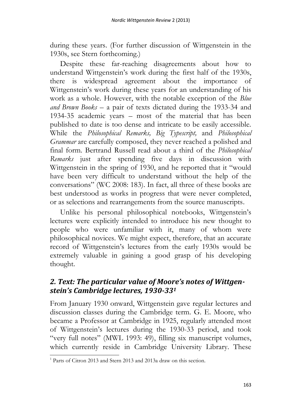during these years. (For further discussion of Wittgenstein in the 1930s, see Stern forthcoming.)

Despite these far-reaching disagreements about how to understand Wittgenstein's work during the first half of the 1930s, there is widespread agreement about the importance of Wittgenstein's work during these years for an understanding of his work as a whole. However, with the notable exception of the *Blue and Brown Books* – a pair of texts dictated during the 1933-34 and 1934-35 academic years – most of the material that has been published to date is too dense and intricate to be easily accessible. While the *Philosophical Remarks, Big Typescript,* and *Philosophical Grammar* are carefully composed, they never reached a polished and final form. Bertrand Russell read about a third of the *Philosophical Remarks* just after spending five days in discussion with Wittgenstein in the spring of 1930, and he reported that it "would have been very difficult to understand without the help of the conversations" (WC 2008: 183). In fact, all three of these books are best understood as works in progress that were never completed, or as selections and rearrangements from the source manuscripts.

Unlike his personal philosophical notebooks, Wittgenstein's lectures were explicitly intended to introduce his new thought to people who were unfamiliar with it, many of whom were philosophical novices. We might expect, therefore, that an accurate record of Wittgenstein's lectures from the early 1930s would be extremely valuable in gaining a good grasp of his developing thought.

## *2. Text: The particular value of Moore's notes of Wittgenstein's Cambridge lectures, 1930-33<sup>1</sup>*

From January 1930 onward, Wittgenstein gave regular lectures and discussion classes during the Cambridge term. G. E. Moore, who became a Professor at Cambridge in 1925, regularly attended most of Wittgenstein's lectures during the 1930-33 period, and took "very full notes" (MWL 1993: 49), filling six manuscript volumes, which currently reside in Cambridge University Library. These

 $\overline{a}$ <sup>1</sup> Parts of Citron 2013 and Stern 2013 and 2013a draw on this section.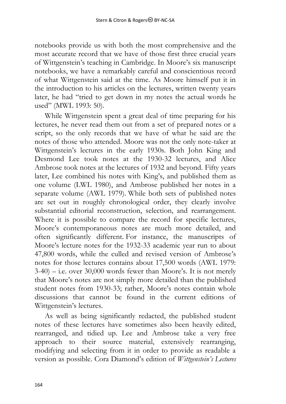notebooks provide us with both the most comprehensive and the most accurate record that we have of those first three crucial years of Wittgenstein's teaching in Cambridge. In Moore's six manuscript notebooks, we have a remarkably careful and conscientious record of what Wittgenstein said at the time. As Moore himself put it in the introduction to his articles on the lectures, written twenty years later, he had "tried to get down in my notes the actual words he used" (MWL 1993: 50).

While Wittgenstein spent a great deal of time preparing for his lectures, he never read them out from a set of prepared notes or a script, so the only records that we have of what he said are the notes of those who attended. Moore was not the only note-taker at Wittgenstein's lectures in the early 1930s. Both John King and Desmond Lee took notes at the 1930-32 lectures, and Alice Ambrose took notes at the lectures of 1932 and beyond. Fifty years later, Lee combined his notes with King's, and published them as one volume (LWL 1980), and Ambrose published her notes in a separate volume (AWL 1979). While both sets of published notes are set out in roughly chronological order, they clearly involve substantial editorial reconstruction, selection, and rearrangement. Where it is possible to compare the record for specific lectures, Moore's contemporaneous notes are much more detailed, and often significantly different. For instance, the manuscripts of Moore's lecture notes for the 1932-33 academic year run to about 47,800 words, while the culled and revised version of Ambrose's notes for those lectures contains about 17,500 words (AWL 1979:  $3-40$ ) – i.e. over  $30,000$  words fewer than Moore's. It is not merely that Moore's notes are not simply more detailed than the published student notes from 1930-33; rather, Moore's notes contain whole discussions that cannot be found in the current editions of Wittgenstein's lectures.

As well as being significantly redacted, the published student notes of these lectures have sometimes also been heavily edited, rearranged, and tidied up. Lee and Ambrose take a very free approach to their source material, extensively rearranging, modifying and selecting from it in order to provide as readable a version as possible. Cora Diamond's edition of *Wittgenstein's Lectures*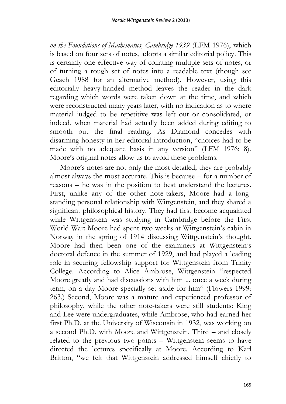*on the Foundations of Mathematics, Cambridge 1939* (LFM 1976), which is based on four sets of notes, adopts a similar editorial policy. This is certainly one effective way of collating multiple sets of notes, or of turning a rough set of notes into a readable text (though see Geach 1988 for an alternative method). However, using this editorially heavy-handed method leaves the reader in the dark regarding which words were taken down at the time, and which were reconstructed many years later, with no indication as to where material judged to be repetitive was left out or consolidated, or indeed, when material had actually been added during editing to smooth out the final reading. As Diamond concedes with disarming honesty in her editorial introduction, "choices had to be made with no adequate basis in any version" (LFM 1976: 8). Moore's original notes allow us to avoid these problems.

Moore's notes are not only the most detailed; they are probably almost always the most accurate. This is because – for a number of reasons – he was in the position to best understand the lectures. First, unlike any of the other note-takers, Moore had a longstanding personal relationship with Wittgenstein, and they shared a significant philosophical history. They had first become acquainted while Wittgenstein was studying in Cambridge before the First World War; Moore had spent two weeks at Wittgenstein's cabin in Norway in the spring of 1914 discussing Wittgenstein's thought. Moore had then been one of the examiners at Wittgenstein's doctoral defence in the summer of 1929, and had played a leading role in securing fellowship support for Wittgenstein from Trinity College. According to Alice Ambrose, Wittgenstein "respected Moore greatly and had discussions with him ... once a week during term, on a day Moore specially set aside for him" (Flowers 1999: 263.) Second, Moore was a mature and experienced professor of philosophy, while the other note-takers were still students: King and Lee were undergraduates, while Ambrose, who had earned her first Ph.D. at the University of Wisconsin in 1932, was working on a second Ph.D. with Moore and Wittgenstein. Third – and closely related to the previous two points – Wittgenstein seems to have directed the lectures specifically at Moore. According to Karl Britton, "we felt that Wittgenstein addressed himself chiefly to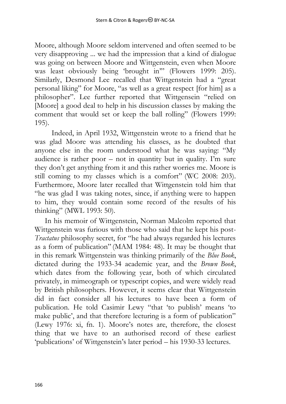Moore, although Moore seldom intervened and often seemed to be very disapproving ... we had the impression that a kind of dialogue was going on between Moore and Wittgenstein, even when Moore was least obviously being 'brought in'" (Flowers 1999: 205). Similarly, Desmond Lee recalled that Wittgenstein had a "great personal liking" for Moore, "as well as a great respect [for him] as a philosopher". Lee further reported that Wittgensein "relied on [Moore] a good deal to help in his discussion classes by making the comment that would set or keep the ball rolling" (Flowers 1999: 195).

Indeed, in April 1932, Wittgenstein wrote to a friend that he was glad Moore was attending his classes, as he doubted that anyone else in the room understood what he was saying: "My audience is rather poor – not in quantity but in quality. I'm sure they don't get anything from it and this rather worries me. Moore is still coming to my classes which is a comfort" (WC 2008: 203). Furthermore, Moore later recalled that Wittgenstein told him that "he was glad I was taking notes, since, if anything were to happen to him, they would contain some record of the results of his thinking" (MWL 1993: 50).

In his memoir of Wittgenstein, Norman Malcolm reported that Wittgenstein was furious with those who said that he kept his post-*Tractatus* philosophy secret, for "he had always regarded his lectures as a form of publication" (MAM 1984: 48). It may be thought that in this remark Wittgenstein was thinking primarily of the *Blue Book*, dictated during the 1933-34 academic year, and the *Brown Book*, which dates from the following year, both of which circulated privately, in mimeograph or typescript copies, and were widely read by British philosophers. However, it seems clear that Wittgenstein did in fact consider all his lectures to have been a form of publication. He told Casimir Lewy "that 'to publish' means 'to make public', and that therefore lecturing is a form of publication" (Lewy 1976: xi, fn. 1). Moore's notes are, therefore, the closest thing that we have to an authorised record of these earliest 'publications' of Wittgenstein's later period – his 1930-33 lectures.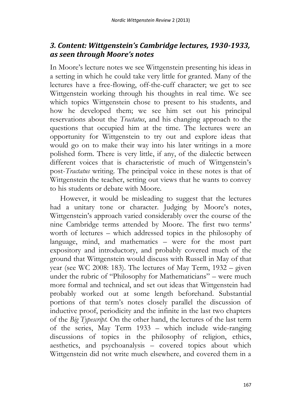## *3. Content: Wittgenstein's Cambridge lectures, 1930-1933, as seen through Moore's notes*

In Moore's lecture notes we see Wittgenstein presenting his ideas in a setting in which he could take very little for granted. Many of the lectures have a free-flowing, off-the-cuff character; we get to see Wittgenstein working through his thoughts in real time. We see which topics Wittgenstein chose to present to his students, and how he developed them; we see him set out his principal reservations about the *Tractatus*, and his changing approach to the questions that occupied him at the time. The lectures were an opportunity for Wittgenstein to try out and explore ideas that would go on to make their way into his later writings in a more polished form. There is very little, if any, of the dialectic between different voices that is characteristic of much of Wittgenstein's post-*Tractatus* writing. The principal voice in these notes is that of Wittgenstein the teacher, setting out views that he wants to convey to his students or debate with Moore.

However, it would be misleading to suggest that the lectures had a unitary tone or character. Judging by Moore's notes, Wittgenstein's approach varied considerably over the course of the nine Cambridge terms attended by Moore. The first two terms' worth of lectures – which addressed topics in the philosophy of language, mind, and mathematics – were for the most part expository and introductory, and probably covered much of the ground that Wittgenstein would discuss with Russell in May of that year (see WC 2008: 183). The lectures of May Term, 1932 – given under the rubric of "Philosophy for Mathematicians" – were much more formal and technical, and set out ideas that Wittgenstein had probably worked out at some length beforehand. Substantial portions of that term's notes closely parallel the discussion of inductive proof, periodicity and the infinite in the last two chapters of the *Big Typescript.* On the other hand, the lectures of the last term of the series, May Term 1933 – which include wide-ranging discussions of topics in the philosophy of religion, ethics, aesthetics, and psychoanalysis – covered topics about which Wittgenstein did not write much elsewhere, and covered them in a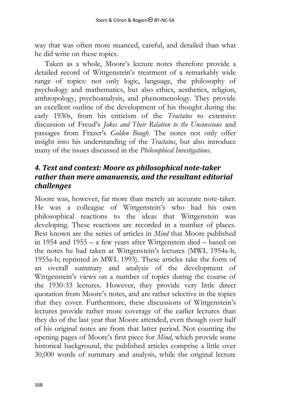way that was often more nuanced, careful, and detailed than what he did write on these topics.

Taken as a whole, Moore's lecture notes therefore provide a detailed record of Wittgenstein's treatment of a remarkably wide range of topics: not only logic, language, the philosophy of psychology and mathematics, but also ethics, aesthetics, religion, anthropology, psychoanalysis, and phenomenology. They provide an excellent outline of the development of his thought during the early 1930s, from his criticism of the *Tractatus* to extensive discussion of Freud's *Jokes and Their Relation to the Unconscious* and passages from Frazer's *Golden Bough*. The notes not only offer insight into his understanding of the *Tractatus*, but also introduce many of the issues discussed in the *Philosophical Investigations*.

## *4. Text and context: Moore as philosophical note-taker rather than mere amanuensis, and the resultant editorial challenges*

Moore was, however, far more than merely an accurate note-taker. He was a colleague of Wittgenstein's who had his own philosophical reactions to the ideas that Wittgenstein was developing. These reactions are recorded in a number of places. Best known are the series of articles in *Mind* that Moore published in 1954 and 1955 – a few years after Wittgenstein died – based on the notes he had taken at Wittgenstein's lectures (MWL 1954a-b, 1955a-b; reprinted in MWL 1993). These articles take the form of an overall summary and analysis of the development of Wittgenstein's views on a number of topics during the course of the 1930-33 lectures. However, they provide very little direct quotation from Moore's notes, and are rather selective in the topics that they cover. Furthermore, these discussions of Wittgenstein's lectures provide rather more coverage of the earlier lectures than they do of the last year that Moore attended, even though over half of his original notes are from that latter period. Not counting the opening pages of Moore's first piece for *Mind*, which provide some historical background, the published articles comprise a little over 30,000 words of summary and analysis, while the original lecture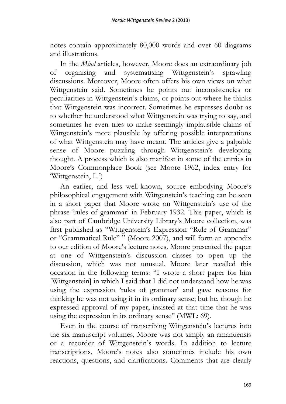notes contain approximately 80,000 words and over 60 diagrams and illustrations.

In the *Mind* articles, however, Moore does an extraordinary job of organising and systematising Wittgenstein's sprawling discussions. Moreover, Moore often offers his own views on what Wittgenstein said. Sometimes he points out inconsistencies or peculiarities in Wittgenstein's claims, or points out where he thinks that Wittgenstein was incorrect. Sometimes he expresses doubt as to whether he understood what Wittgenstein was trying to say, and sometimes he even tries to make seemingly implausible claims of Wittgenstein's more plausible by offering possible interpretations of what Wittgenstein may have meant. The articles give a palpable sense of Moore puzzling through Wittgenstein's developing thought. A process which is also manifest in some of the entries in Moore's Commonplace Book (see Moore 1962, index entry for 'Wittgenstein, L.')

An earlier, and less well-known, source embodying Moore's philosophical engagement with Wittgenstein's teaching can be seen in a short paper that Moore wrote on Wittgenstein's use of the phrase 'rules of grammar' in February 1932. This paper, which is also part of Cambridge University Library's Moore collection, was first published as "Wittgenstein's Expression "Rule of Grammar" or "Grammatical Rule" " (Moore 2007), and will form an appendix to our edition of Moore's lecture notes. Moore presented the paper at one of Wittgenstein's discussion classes to open up the discussion, which was not unusual. Moore later recalled this occasion in the following terms: "I wrote a short paper for him [Wittgenstein] in which I said that I did not understand how he was using the expression 'rules of grammar' and gave reasons for thinking he was not using it in its ordinary sense; but he, though he expressed approval of my paper, insisted at that time that he was using the expression in its ordinary sense" (MWL: 69).

Even in the course of transcribing Wittgenstein's lectures into the six manuscript volumes, Moore was not simply an amanuensis or a recorder of Wittgenstein's words. In addition to lecture transcriptions, Moore's notes also sometimes include his own reactions, questions, and clarifications. Comments that are clearly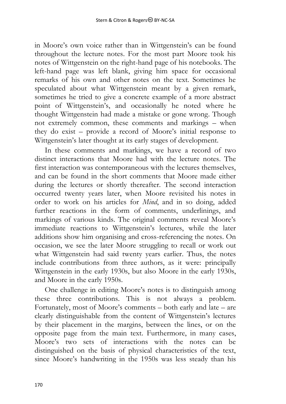in Moore's own voice rather than in Wittgenstein's can be found throughout the lecture notes. For the most part Moore took his notes of Wittgenstein on the right-hand page of his notebooks. The left-hand page was left blank, giving him space for occasional remarks of his own and other notes on the text. Sometimes he speculated about what Wittgenstein meant by a given remark, sometimes he tried to give a concrete example of a more abstract point of Wittgenstein's, and occasionally he noted where he thought Wittgenstein had made a mistake or gone wrong. Though not extremely common, these comments and markings – when they do exist – provide a record of Moore's initial response to Wittgenstein's later thought at its early stages of development.

In these comments and markings, we have a record of two distinct interactions that Moore had with the lecture notes. The first interaction was contemporaneous with the lectures themselves, and can be found in the short comments that Moore made either during the lectures or shortly thereafter. The second interaction occurred twenty years later, when Moore revisited his notes in order to work on his articles for *Mind*, and in so doing, added further reactions in the form of comments, underlinings, and markings of various kinds. The original comments reveal Moore's immediate reactions to Wittgenstein's lectures, while the later additions show him organising and cross-referencing the notes. On occasion, we see the later Moore struggling to recall or work out what Wittgenstein had said twenty years earlier. Thus, the notes include contributions from three authors, as it were: principally Wittgenstein in the early 1930s, but also Moore in the early 1930s, and Moore in the early 1950s.

One challenge in editing Moore's notes is to distinguish among these three contributions. This is not always a problem. Fortunately, most of Moore's comments – both early and late – are clearly distinguishable from the content of Wittgenstein's lectures by their placement in the margins, between the lines, or on the opposite page from the main text. Furthermore, in many cases, Moore's two sets of interactions with the notes can be distinguished on the basis of physical characteristics of the text, since Moore's handwriting in the 1950s was less steady than his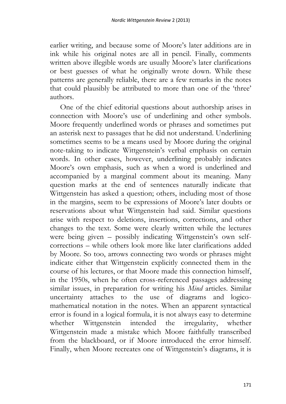earlier writing, and because some of Moore's later additions are in ink while his original notes are all in pencil. Finally, comments written above illegible words are usually Moore's later clarifications or best guesses of what he originally wrote down. While these patterns are generally reliable, there are a few remarks in the notes that could plausibly be attributed to more than one of the 'three' authors.

One of the chief editorial questions about authorship arises in connection with Moore's use of underlining and other symbols. Moore frequently underlined words or phrases and sometimes put an asterisk next to passages that he did not understand. Underlining sometimes seems to be a means used by Moore during the original note-taking to indicate Wittgenstein's verbal emphasis on certain words. In other cases, however, underlining probably indicates Moore's own emphasis, such as when a word is underlined and accompanied by a marginal comment about its meaning. Many question marks at the end of sentences naturally indicate that Wittgenstein has asked a question; others, including most of those in the margins, seem to be expressions of Moore's later doubts or reservations about what Wittgenstein had said. Similar questions arise with respect to deletions, insertions, corrections, and other changes to the text. Some were clearly written while the lectures were being given – possibly indicating Wittgenstein's own selfcorrections – while others look more like later clarifications added by Moore. So too, arrows connecting two words or phrases might indicate either that Wittgenstein explicitly connected them in the course of his lectures, or that Moore made this connection himself, in the 1950s, when he often cross-referenced passages addressing similar issues, in preparation for writing his *Mind* articles. Similar uncertainty attaches to the use of diagrams and logicomathematical notation in the notes. When an apparent syntactical error is found in a logical formula, it is not always easy to determine whether Wittgenstein intended the irregularity, whether Wittgenstein made a mistake which Moore faithfully transcribed from the blackboard, or if Moore introduced the error himself. Finally, when Moore recreates one of Wittgenstein's diagrams, it is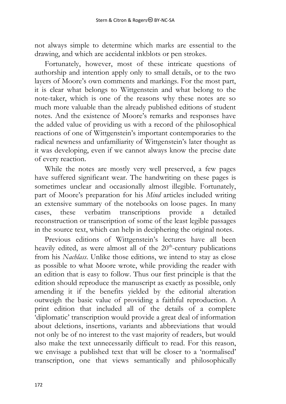not always simple to determine which marks are essential to the drawing, and which are accidental inkblots or pen strokes.

Fortunately, however, most of these intricate questions of authorship and intention apply only to small details, or to the two layers of Moore's own comments and markings. For the most part, it is clear what belongs to Wittgenstein and what belong to the note-taker, which is one of the reasons why these notes are so much more valuable than the already published editions of student notes. And the existence of Moore's remarks and responses have the added value of providing us with a record of the philosophical reactions of one of Wittgenstein's important contemporaries to the radical newness and unfamiliarity of Wittgenstein's later thought as it was developing, even if we cannot always know the precise date of every reaction.

While the notes are mostly very well preserved, a few pages have suffered significant wear. The handwriting on these pages is sometimes unclear and occasionally almost illegible. Fortunately, part of Moore's preparation for his *Mind* articles included writing an extensive summary of the notebooks on loose pages. In many cases, these verbatim transcriptions provide a detailed cases, these verbatim transcriptions provide a detailed reconstruction or transcription of some of the least legible passages in the source text, which can help in deciphering the original notes.

Previous editions of Wittgenstein's lectures have all been heavily edited, as were almost all of the  $20<sup>th</sup>$ -century publications from his *Nachlass*. Unlike those editions, we intend to stay as close as possible to what Moore wrote, while providing the reader with an edition that is easy to follow. Thus our first principle is that the edition should reproduce the manuscript as exactly as possible, only amending it if the benefits yielded by the editorial alteration outweigh the basic value of providing a faithful reproduction. A print edition that included all of the details of a complete 'diplomatic' transcription would provide a great deal of information about deletions, insertions, variants and abbreviations that would not only be of no interest to the vast majority of readers, but would also make the text unnecessarily difficult to read. For this reason, we envisage a published text that will be closer to a 'normalised' transcription, one that views semantically and philosophically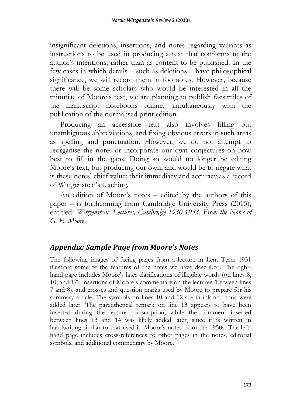insignificant deletions, insertions, and notes regarding variants as instructions to be used in producing a text that conforms to the author's intentions, rather than as content to be published. In the few cases in which details – such as deletions – have philosophical significance, we will record them in footnotes. However, because there will be some scholars who would be interested in all the minutiae of Moore's text, we are planning to publish facsimiles of the manuscript notebooks online, simultaneously with the publication of the normalised print edition.

Producing an accessible text also involves filling out unambiguous abbreviations, and fixing obvious errors in such areas as spelling and punctuation. However, we do not attempt to reorganise the notes or incorporate our own conjectures on how best to fill in the gaps. Doing so would no longer be editing Moore's text, but producing our own, and would be to negate what is these notes' chief value: their immediacy and accuracy as a record of Wittgenstein's teaching.

An edition of Moore's notes – edited by the authors of this paper – is forthcoming from Cambridge University Press (2015), entitled: *Wittgenstein: Lectures, Cambridge 1930-1933, From the Notes of G. E. Moore*.

#### *Appendix: Sample Page from Moore's Notes*

The following images of facing pages from a lecture in Lent Term 1931 illustrate some of the features of the notes we have described. The righthand page includes Moore's later clarifications of illegible words (on lines 8, 10, and 17), insertions of Moore's commentary on the lectures (between lines 7 and 8), and crosses and question marks used by Moore to prepare for his summary article. The symbols on lines 10 and 12 are in ink and thus were added later. The parenthetical remark on line 13 appears to have been inserted during the lecture transcription, while the comment inserted between lines 13 and 14 was likely added later, since it is written in handwriting similar to that used in Moore's notes from the 1950s. The lefthand page includes cross-references to other pages in the notes, editorial symbols, and additional commentary by Moore.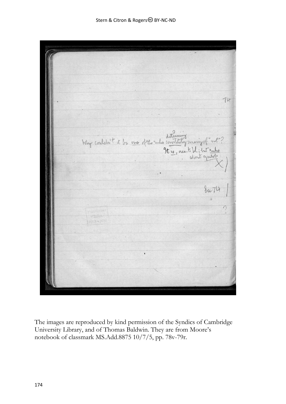$74$ Why couldn't it be one of the rules constituting messing of not  $\frac{1}{2}u$ 

The images are reproduced by kind permission of the Syndics of Cambridge University Library, and of Thomas Baldwin. They are from Moore's notebook of classmark MS.Add.8875 10/7/5, pp. 78v-79r.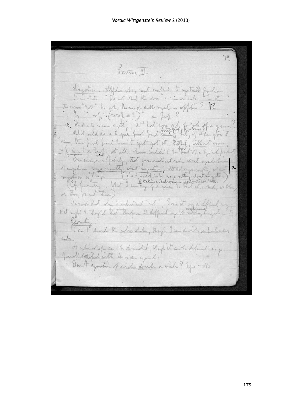*Nordic Wittgenstein Review* 2 (2013)

Lecture VI. Negation. Afflin ato, mot mutal, to any truth function.<br>If in state "Is not state the door"; can in ask a by the theman "int" to me. thenk of kulhongation applin" X It it's to mean on the 2nd fast content of the 20 in the first hart limit yet got it 2 the , without me . It is in the first fact that the same with the street of a typical . One imagines , at all, there wild it to the top a typical . One imagines , at all, there wished i " I can't That when I inhetend " get" I me it any find ljemitin transfer the cabic dato, though I can divide a partien  $Ln$ A cabin what can't he demanded though it can be defined as of Down't exported of anche don't a winde? You + No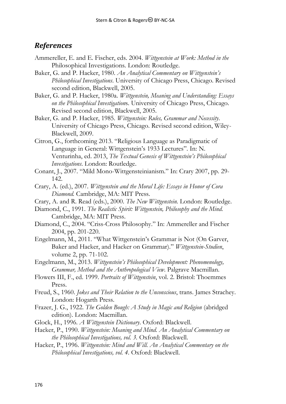#### *References*

- Ammereller, E. and E. Fischer, eds. 2004. *Wittgenstein at Work: Method in the*  Philosophical Investigations*.* London: Routledge.
- Baker, G. and P. Hacker, 1980. *An Analytical Commentary on Wittgenstein's Philosophical Investigations*. University of Chicago Press, Chicago. Revised second edition, Blackwell, 2005.
- Baker, G. and P. Hacker, 1980a. *Wittgenstein, Meaning and Understanding: Essays on the Philosophical Investigation*s. University of Chicago Press, Chicago. Revised second edition, Blackwell, 2005.
- Baker, G. and P. Hacker, 1985. *Wittgenstein: Rules, Grammar and Necessity*. University of Chicago Press, Chicago. Revised second edition, Wiley-Blackwell, 2009.
- Citron, G., forthcoming 2013. "Religious Language as Paradigmatic of Language in General: Wittgenstein's 1933 Lectures". In: N. Venturinha, ed. 2013, *The Textual Genesis of Wittgenstein's Philosophical Investigations*. London: Routledge.
- Conant, J., 2007. "Mild Mono-Wittgensteinianism." In: Crary 2007, pp. 29- 142.
- Crary, A. (ed.), 2007. *Wittgenstein and the Moral Life: Essays in Honor of Cora Diamond.* Cambridge, MA: MIT Press.
- Crary, A. and R. Read (eds.), 2000. *The New Wittgenstein.* London: Routledge.
- Diamond, C., 1991. *The Realistic Spirit: Wittgenstein, Philosophy and the Mind.*  Cambridge, MA: MIT Press.
- Diamond, C., 2004. "Criss-Cross Philosophy." In: Ammereller and Fischer 2004, pp. 201-220.
- Engelmann, M., 2011. "What Wittgenstein's Grammar is Not (On Garver, Baker and Hacker, and Hacker on Grammar)." *Wittgenstein-Studien*, volume 2, pp. 71-102.
- Engelmann, M., 2013. *Wittgenstein's Philosophical Development: Phenomenology, Grammar, Method and the Anthropological View*. Palgrave Macmillan.
- Flowers III, F., ed. 1999. *Portraits of Wittgenstein*, vol. 2. Bristol: Thoemmes Press.
- Freud, S., 1960. *Jokes and Their Relation to the Unconscious*, trans. James Strachey. London: Hogarth Press.
- Frazer, J. G., 1922. *The Golden Bough: A Study in Magic and Religion* (abridged edition). London: Macmillan.
- Glock, H., 1996. *A Wittgenstein Dictionary*. Oxford: Blackwell.
- Hacker, P., 1990. *Wittgenstein: Meaning and Mind. An Analytical Commentary on the Philosophical Investigations, vol. 3.* Oxford: Blackwell.
- Hacker, P., 1996. *Wittgenstein: Mind and Will. An Analytical Commentary on the Philosophical Investigations, vol. 4*. Oxford: Blackwell.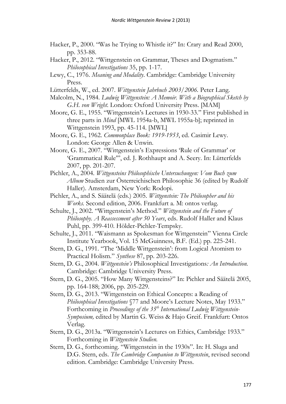- Hacker, P., 2000. "Was he Trying to Whistle it?" In: Crary and Read 2000, pp. 353-88.
- Hacker, P., 2012. "Wittgenstein on Grammar, Theses and Dogmatism." *Philosophical Investigations* 35, pp. 1-17.
- Lewy, C., 1976. *Meaning and Modality*. Cambridge: Cambridge University Press.
- Lütterfelds, W., ed. 2007. *Wittgenstein Jahrbuch 2003/2006.* Peter Lang.
- Malcolm, N., 1984. *Ludwig Wittgenstein: A Memoir. With a Biographical Sketch by G.H. von Wright*. London: Oxford University Press. [MAM]
- Moore, G. E., 1955. "Wittgenstein's Lectures in 1930-33." First published in three parts in *Mind* [MWL 1954a-b, MWL 1955a-b]; reprinted in Wittgenstein 1993, pp. 45-114. [MWL]
- Moore, G. E., 1962. *Commonplace Book: 1919-1953*, ed. Casimir Lewy. London: George Allen & Unwin.
- Moore, G. E., 2007. "Wittgenstein's Expressions 'Rule of Grammar' or 'Grammatical Rule'", ed. J. Rothhaupt and A. Seery. In: Lütterfelds 2007, pp. 201-207.
- Pichler, A., 2004. *Wittgensteins Philosophische Untersuchungen: Vom Buch zum Album* Studien zur Österreichischen Philosophie 36 (edited by Rudolf Haller). Amsterdam, New York: Rodopi.
- Pichler, A., and S. Säätelä (eds.) 2005. *Wittgenstein: The Philosopher and his Works.* Second edition, 2006. Frankfurt a. M: ontos verlag.
- Schulte, J., 2002. "Wittgenstein's Method." *Wittgenstein and the Future of Philosophy. A Reassessment after 50 Years*, eds. Rudolf Haller and Klaus Puhl, pp. 399-410*.* Hölder-Pichler-Tempsky.
- Schulte, J., 2011. "Waismann as Spokesman for Wittgenstein" Vienna Circle Institute Yearbook, Vol. 15 McGuinness, B.F. (Ed.) pp. 225-241.
- Stern, D. G., 1991. "The 'Middle Wittgenstein': from Logical Atomism to Practical Holism." *Synthese* 87, pp. 203-226.
- Stern, D. G., 2004. *Wittgenstein's* Philosophical Investigations*: An Introduction.* Cambridge: Cambridge University Press.
- Stern, D. G., 2005. "How Many Wittgensteins?" In: Pichler and Säätelä 2005, pp. 164-188; 2006, pp. 205-229.
- Stern, D. G., 2013. "Wittgenstein on Ethical Concepts: a Reading of *Philosophical Investigations* §77 and Moore's Lecture Notes, May 1933." Forthcoming in *Proceedings of the 35th International Ludwig Wittgenstein-Symposium,* edited by Martin G. Weiss & Hajo Greif. Frankfurt: Ontos Verlag.
- Stern, D. G., 2013a. "Wittgenstein's Lectures on Ethics, Cambridge 1933." Forthcoming in *Wittgenstein Studien.*
- Stern, D. G., forthcoming. "Wittgenstein in the 1930s". In: H. Sluga and D.G. Stern, eds. *The Cambridge Companion to Wittgenstein*, revised second edition. Cambridge: Cambridge University Press.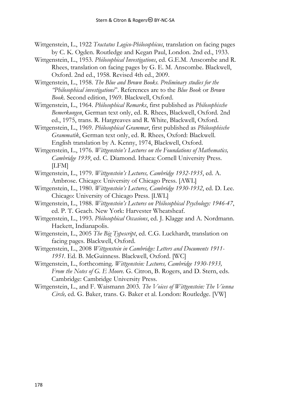- Wittgenstein, L., 1922 *Tractatus Logico-Philosophicus*, translation on facing pages by C. K. Ogden. Routledge and Kegan Paul, London. 2nd ed., 1933.
- Wittgenstein, L., 1953. *Philosophical Investigations*, ed. G.E.M. Anscombe and R. Rhees, translation on facing pages by G. E. M. Anscombe. Blackwell, Oxford. 2nd ed., 1958. Revised 4th ed., 2009.

Wittgenstein, L., 1958. *The Blue and Brown Books. Preliminary studies for the "Philosophical investigations*". References are to the *Blue Book* or *Brown Book*. Second edition, 1969. Blackwell, Oxford.

Wittgenstein, L., 1964. *Philosophical Remarks*, first published as *Philosophische Bemerkungen*, German text only, ed. R. Rhees, Blackwell, Oxford. 2nd ed., 1975, trans. R. Hargreaves and R. White, Blackwell, Oxford.

Wittgenstein, L., 1969. *Philosophical Grammar*, first published as *Philosophische Grammatik*, German text only, ed. R. Rhees, Oxford: Blackwell. English translation by A. Kenny, 1974, Blackwell, Oxford.

Wittgenstein, L., 1976. *Wittgenstein's Lectures on the Foundations of Mathematics, Cambridge 1939*, ed. C. Diamond. Ithaca: Cornell University Press. [LFM]

- Wittgenstein, L., 1979. *Wittgenstein's Lectures, Cambridge 1932-1935*, ed. A. Ambrose. Chicago: University of Chicago Press. [AWL]
- Wittgenstein, L., 1980. *Wittgenstein's Lectures, Cambridge 1930-1932*, ed. D. Lee. Chicago: University of Chicago Press. [LWL]
- Wittgenstein, L., 1988. *Wittgenstein's Lectures on Philosophical Psychology: 1946-47*, ed. P. T. Geach. New York: Harvester Wheatsheaf.
- Wittgenstein, L., 1993. *Philosophical Occasions*, ed. J. Klagge and A. Nordmann. Hackett, Indianapolis.
- Wittgenstein, L., 2005 *The Big Typescript*, ed. C.G. Luckhardt, translation on facing pages. Blackwell, Oxford.
- Wittgenstein, L., 2008 *Wittgenstein in Cambridge: Letters and Documents 1911- 1951.* Ed. B. McGuinness. Blackwell, Oxford. [WC]
- Wittgenstein, L., forthcoming. *Wittgenstein: Lectures, Cambridge 1930-1933, From the Notes of G. E Moore.* G. Citron, B. Rogers, and D. Stern, eds. Cambridge: Cambridge University Press.

Wittgenstein, L., and F. Waismann 2003. *The Voices of Wittgenstein: The Vienna Circle,* ed. G. Baker, trans. G. Baker et al. London: Routledge. [VW]